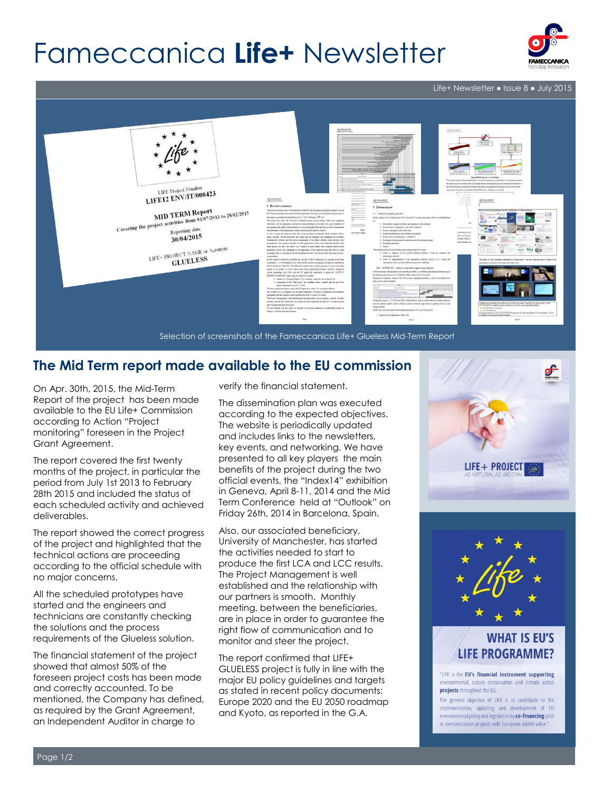# Fameccanica **Life+** Newsletter



Life+ Newsletter ● Issue 8 ● July 2015



#### **The Mid Term report made available to the EU commission**

On Apr. 30th, 2015, the Mid-Term Report of the project has been made available to the EU Life+ Commission according to Action "Project monitoring" foreseen in the Project Grant Agreement.

The report covered the first twenty months of the project, in particular the period from July 1st 2013 to February 28th 2015 and included the status of each scheduled activity and achieved deliverables.

The report showed the correct progress of the project and highlighted that the technical actions are proceeding according to the official schedule with no major concerns.

All the scheduled prototypes have started and the engineers and technicians are constantly checking the solutions and the process requirements of the Glueless solution.

The financial statement of the project showed that almost 50% of the foreseen project costs has been made and correctly accounted. To be mentioned, the Company has defined, as required by the Grant Agreement, an Independent Auditor in charge to

verify the financial statement.

The dissemination plan was executed according to the expected objectives. The website is periodically updated and includes links to the newsletters, key events, and networking. We have presented to all key players the main benefits of the project during the two official events, the "Index14" exhibition in Geneva, April 8-11, 2014 and the Mid Term Conference held at "Outlook" on Friday 26th, 2014 in Barcelona, Spain.

Also, our associated beneficiary, University of Manchester, has started the activities needed to start to produce the first LCA and LCC results. The Project Management is well established and the relationship with our partners is smooth. Monthly meeting, between the beneficiaries, are in place in order to guarantee the right flow of communication and to monitor and steer the project.

The report confirmed that LIFE+ GLUELESS project is fully in line with the major EU policy guidelines and targets as stated in recent policy documents: Europe 2020 and the EU 2050 roadmap and Kyoto, as reported in the G.A.





#### **WHAT IS EU'S LIFE PROGRAMME?**

"LIFE is the EU's financial instrument supporting environmental, nature conservation and climate action projects throughout the EU.

The general objective of LIFE is to contribute to the implementation, updating and development of EU environmental policy and legislation by co-financing pilot or demonstration projects with European added value."